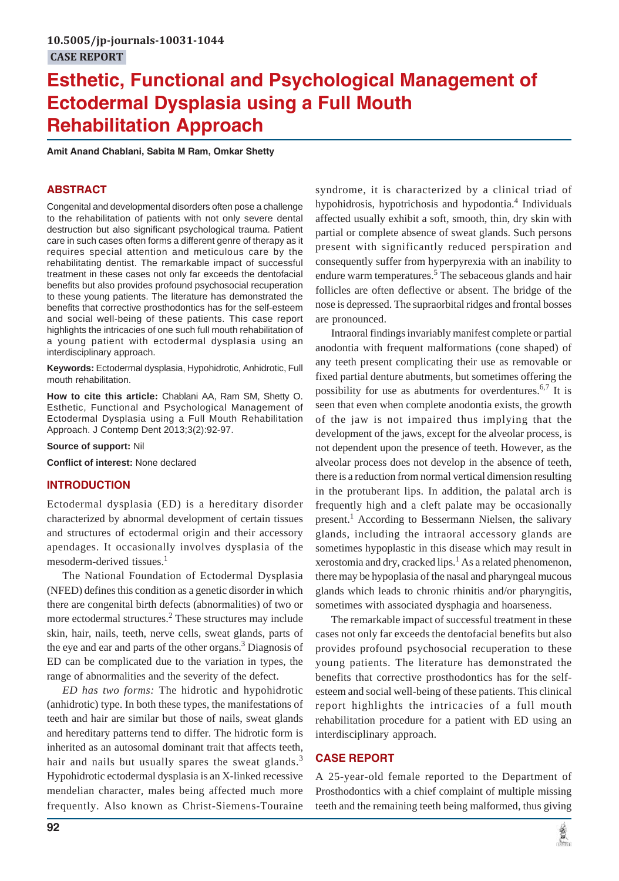# **Esthetic, Functional and Psychological Management of Ectodermal Dysplasia using a Full Mouth Rehabilitation Approach**

**Amit Anand Chablani, Sabita M Ram, Omkar Shetty**

# **ABSTRACT**

Congenital and developmental disorders often pose a challenge to the rehabilitation of patients with not only severe dental destruction but also significant psychological trauma. Patient care in such cases often forms a different genre of therapy as it requires special attention and meticulous care by the rehabilitating dentist. The remarkable impact of successful treatment in these cases not only far exceeds the dentofacial benefits but also provides profound psychosocial recuperation to these young patients. The literature has demonstrated the benefits that corrective prosthodontics has for the self-esteem and social well-being of these patients. This case report highlights the intricacies of one such full mouth rehabilitation of a young patient with ectodermal dysplasia using an interdisciplinary approach.

**Keywords:** Ectodermal dysplasia, Hypohidrotic, Anhidrotic, Full mouth rehabilitation.

**How to cite this article:** Chablani AA, Ram SM, Shetty O. Esthetic, Functional and Psychological Management of Ectodermal Dysplasia using a Full Mouth Rehabilitation Approach. J Contemp Dent 2013;3(2):92-97.

**Source of support:** Nil

**Conflict of interest:** None declared

#### **INTRODUCTION**

Ectodermal dysplasia (ED) is a hereditary disorder characterized by abnormal development of certain tissues and structures of ectodermal origin and their accessory apendages. It occasionally involves dysplasia of the mesoderm-derived tissues.<sup>1</sup>

The National Foundation of Ectodermal Dysplasia (NFED) defines this condition as a genetic disorder in which there are congenital birth defects (abnormalities) of two or more ectodermal structures.<sup>2</sup> These structures may include skin, hair, nails, teeth, nerve cells, sweat glands, parts of the eye and ear and parts of the other organs.<sup>3</sup> Diagnosis of ED can be complicated due to the variation in types, the range of abnormalities and the severity of the defect.

*ED has two forms:* The hidrotic and hypohidrotic (anhidrotic) type. In both these types, the manifestations of teeth and hair are similar but those of nails, sweat glands and hereditary patterns tend to differ. The hidrotic form is inherited as an autosomal dominant trait that affects teeth, hair and nails but usually spares the sweat glands.<sup>3</sup> Hypohidrotic ectodermal dysplasia is an X-linked recessive mendelian character, males being affected much more frequently. Also known as Christ-Siemens-Touraine

syndrome, it is characterized by a clinical triad of hypohidrosis, hypotrichosis and hypodontia.<sup>4</sup> Individuals affected usually exhibit a soft, smooth, thin, dry skin with partial or complete absence of sweat glands. Such persons present with significantly reduced perspiration and consequently suffer from hyperpyrexia with an inability to endure warm temperatures.<sup>5</sup> The sebaceous glands and hair follicles are often deflective or absent. The bridge of the nose is depressed. The supraorbital ridges and frontal bosses are pronounced.

Intraoral findings invariably manifest complete or partial anodontia with frequent malformations (cone shaped) of any teeth present complicating their use as removable or fixed partial denture abutments, but sometimes offering the possibility for use as abutments for overdentures.<sup>6,7</sup> It is seen that even when complete anodontia exists, the growth of the jaw is not impaired thus implying that the development of the jaws, except for the alveolar process, is not dependent upon the presence of teeth. However, as the alveolar process does not develop in the absence of teeth, there is a reduction from normal vertical dimension resulting in the protuberant lips. In addition, the palatal arch is frequently high and a cleft palate may be occasionally present.<sup>1</sup> According to Bessermann Nielsen, the salivary glands, including the intraoral accessory glands are sometimes hypoplastic in this disease which may result in xerostomia and dry, cracked lips.<sup>1</sup> As a related phenomenon, there may be hypoplasia of the nasal and pharyngeal mucous glands which leads to chronic rhinitis and/or pharyngitis, sometimes with associated dysphagia and hoarseness.

The remarkable impact of successful treatment in these cases not only far exceeds the dentofacial benefits but also provides profound psychosocial recuperation to these young patients. The literature has demonstrated the benefits that corrective prosthodontics has for the selfesteem and social well-being of these patients. This clinical report highlights the intricacies of a full mouth rehabilitation procedure for a patient with ED using an interdisciplinary approach.

## **CASE REPORT**

A 25-year-old female reported to the Department of Prosthodontics with a chief complaint of multiple missing teeth and the remaining teeth being malformed, thus giving

意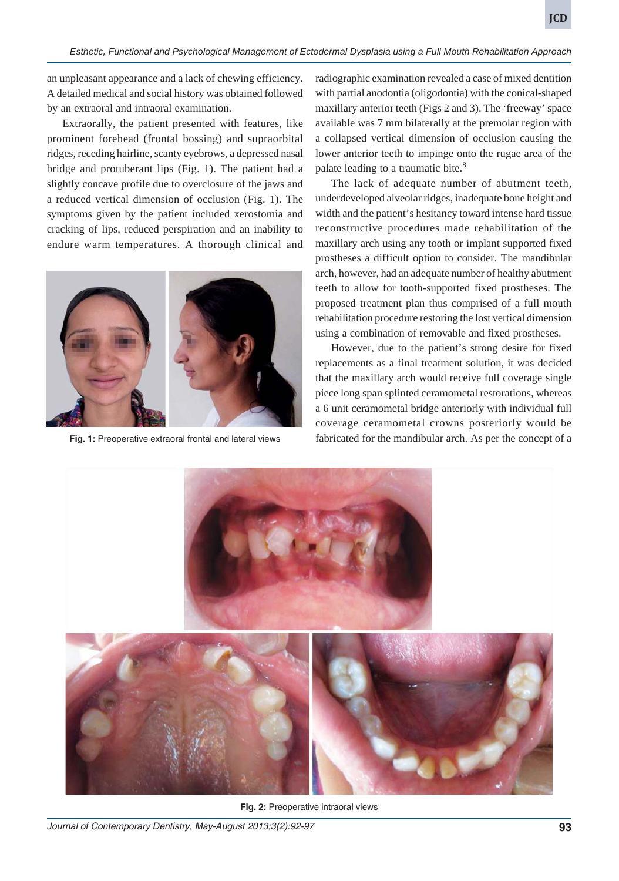an unpleasant appearance and a lack of chewing efficiency. A detailed medical and social history was obtained followed by an extraoral and intraoral examination.

Extraorally, the patient presented with features, like prominent forehead (frontal bossing) and supraorbital ridges, receding hairline, scanty eyebrows, a depressed nasal bridge and protuberant lips (Fig. 1). The patient had a slightly concave profile due to overclosure of the jaws and a reduced vertical dimension of occlusion (Fig. 1). The symptoms given by the patient included xerostomia and cracking of lips, reduced perspiration and an inability to endure warm temperatures. A thorough clinical and



radiographic examination revealed a case of mixed dentition with partial anodontia (oligodontia) with the conical-shaped maxillary anterior teeth (Figs 2 and 3). The 'freeway' space available was 7 mm bilaterally at the premolar region with a collapsed vertical dimension of occlusion causing the lower anterior teeth to impinge onto the rugae area of the palate leading to a traumatic bite.<sup>8</sup>

The lack of adequate number of abutment teeth, underdeveloped alveolar ridges, inadequate bone height and width and the patient's hesitancy toward intense hard tissue reconstructive procedures made rehabilitation of the maxillary arch using any tooth or implant supported fixed prostheses a difficult option to consider. The mandibular arch, however, had an adequate number of healthy abutment teeth to allow for tooth-supported fixed prostheses. The proposed treatment plan thus comprised of a full mouth rehabilitation procedure restoring the lost vertical dimension using a combination of removable and fixed prostheses.

However, due to the patient's strong desire for fixed replacements as a final treatment solution, it was decided that the maxillary arch would receive full coverage single piece long span splinted ceramometal restorations, whereas a 6 unit ceramometal bridge anteriorly with individual full coverage ceramometal crowns posteriorly would be **Fig. 1:** Preoperative extraoral frontal and lateral views fabricated for the mandibular arch. As per the concept of a



**Fig. 2:** Preoperative intraoral views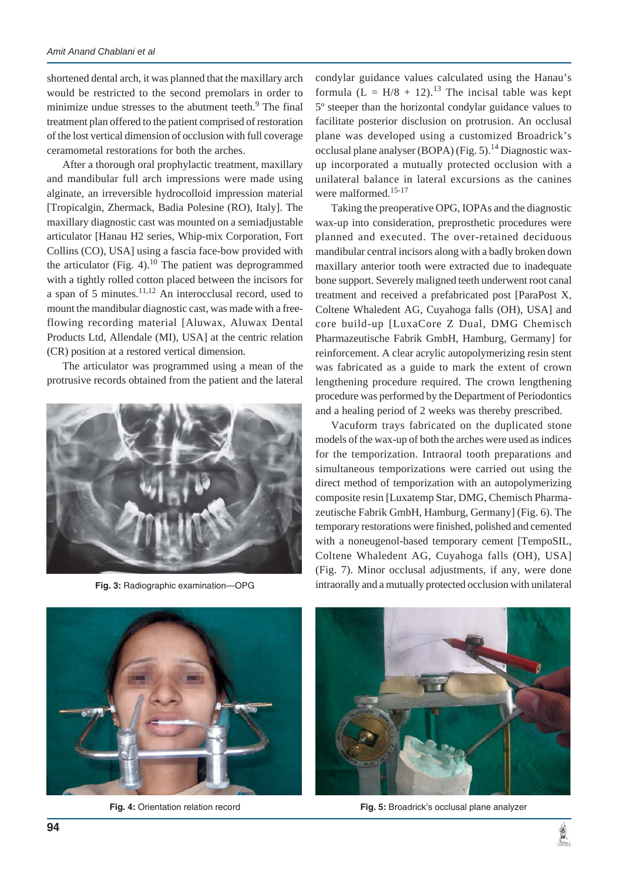shortened dental arch, it was planned that the maxillary arch would be restricted to the second premolars in order to minimize undue stresses to the abutment teeth.<sup>9</sup> The final treatment plan offered to the patient comprised of restoration of the lost vertical dimension of occlusion with full coverage ceramometal restorations for both the arches.

After a thorough oral prophylactic treatment, maxillary and mandibular full arch impressions were made using alginate, an irreversible hydrocolloid impression material [Tropicalgin, Zhermack, Badia Polesine (RO), Italy]. The maxillary diagnostic cast was mounted on a semiadjustable articulator [Hanau H2 series, Whip-mix Corporation, Fort Collins (CO), USA] using a fascia face-bow provided with the articulator (Fig. 4).<sup>10</sup> The patient was deprogrammed with a tightly rolled cotton placed between the incisors for a span of 5 minutes. $11,12$  An interocclusal record, used to mount the mandibular diagnostic cast, was made with a freeflowing recording material [Aluwax, Aluwax Dental Products Ltd, Allendale (MI), USA] at the centric relation (CR) position at a restored vertical dimension.

The articulator was programmed using a mean of the protrusive records obtained from the patient and the lateral



**Fig. 3:** Radiographic examination—OPG

condylar guidance values calculated using the Hanau's formula  $(L = H/8 + 12).^{13}$  The incisal table was kept 5º steeper than the horizontal condylar guidance values to facilitate posterior disclusion on protrusion. An occlusal plane was developed using a customized Broadrick's occlusal plane analyser (BOPA) (Fig. 5).<sup>14</sup> Diagnostic waxup incorporated a mutually protected occlusion with a unilateral balance in lateral excursions as the canines were malformed.15-17

Taking the preoperative OPG, IOPAs and the diagnostic wax-up into consideration, preprosthetic procedures were planned and executed. The over-retained deciduous mandibular central incisors along with a badly broken down maxillary anterior tooth were extracted due to inadequate bone support. Severely maligned teeth underwent root canal treatment and received a prefabricated post [ParaPost X, Coltene Whaledent AG, Cuyahoga falls (OH), USA] and core build-up [LuxaCore Z Dual, DMG Chemisch Pharmazeutische Fabrik GmbH, Hamburg, Germany] for reinforcement. A clear acrylic autopolymerizing resin stent was fabricated as a guide to mark the extent of crown lengthening procedure required. The crown lengthening procedure was performed by the Department of Periodontics and a healing period of 2 weeks was thereby prescribed.

Vacuform trays fabricated on the duplicated stone models of the wax-up of both the arches were used as indices for the temporization. Intraoral tooth preparations and simultaneous temporizations were carried out using the direct method of temporization with an autopolymerizing composite resin [Luxatemp Star, DMG, Chemisch Pharmazeutische Fabrik GmbH, Hamburg, Germany] (Fig. 6). The temporary restorations were finished, polished and cemented with a noneugenol-based temporary cement [TempoSIL, Coltene Whaledent AG, Cuyahoga falls (OH), USA] (Fig. 7). Minor occlusal adjustments, if any, were done intraorally and a mutually protected occlusion with unilateral



**Fig. 4:** Orientation relation record



**Fig. 5:** Broadrick's occlusal plane analyzer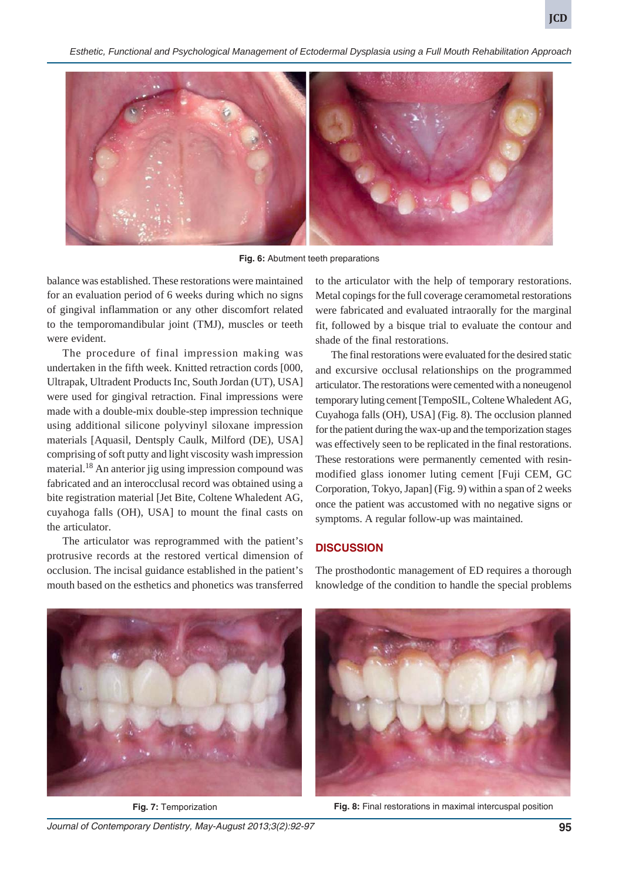*Esthetic, Functional and Psychological Management of Ectodermal Dysplasia using a Full Mouth Rehabilitation Approach*



**Fig. 6:** Abutment teeth preparations

balance was established. These restorations were maintained for an evaluation period of 6 weeks during which no signs of gingival inflammation or any other discomfort related to the temporomandibular joint (TMJ), muscles or teeth were evident.

The procedure of final impression making was undertaken in the fifth week. Knitted retraction cords [000, Ultrapak, Ultradent Products Inc, South Jordan (UT), USA] were used for gingival retraction. Final impressions were made with a double-mix double-step impression technique using additional silicone polyvinyl siloxane impression materials [Aquasil, Dentsply Caulk, Milford (DE), USA] comprising of soft putty and light viscosity wash impression material.<sup>18</sup> An anterior jig using impression compound was fabricated and an interocclusal record was obtained using a bite registration material [Jet Bite, Coltene Whaledent AG, cuyahoga falls (OH), USA] to mount the final casts on the articulator.

The articulator was reprogrammed with the patient's protrusive records at the restored vertical dimension of occlusion. The incisal guidance established in the patient's mouth based on the esthetics and phonetics was transferred

to the articulator with the help of temporary restorations. Metal copings for the full coverage ceramometal restorations were fabricated and evaluated intraorally for the marginal fit, followed by a bisque trial to evaluate the contour and shade of the final restorations.

The final restorations were evaluated for the desired static and excursive occlusal relationships on the programmed articulator. The restorations were cemented with a noneugenol temporary luting cement [TempoSIL, Coltene Whaledent AG, Cuyahoga falls (OH), USA] (Fig. 8). The occlusion planned for the patient during the wax-up and the temporization stages was effectively seen to be replicated in the final restorations. These restorations were permanently cemented with resinmodified glass ionomer luting cement [Fuji CEM, GC Corporation, Tokyo, Japan] (Fig. 9) within a span of 2 weeks once the patient was accustomed with no negative signs or symptoms. A regular follow-up was maintained.

## **DISCUSSION**



The prosthodontic management of ED requires a thorough knowledge of the condition to handle the special problems



**Fig. 7:** Temporization **Fig. 8:** Final restorations in maximal intercuspal position

*Journal of Contemporary Dentistry, May-August 2013;3(2):92-97* **95**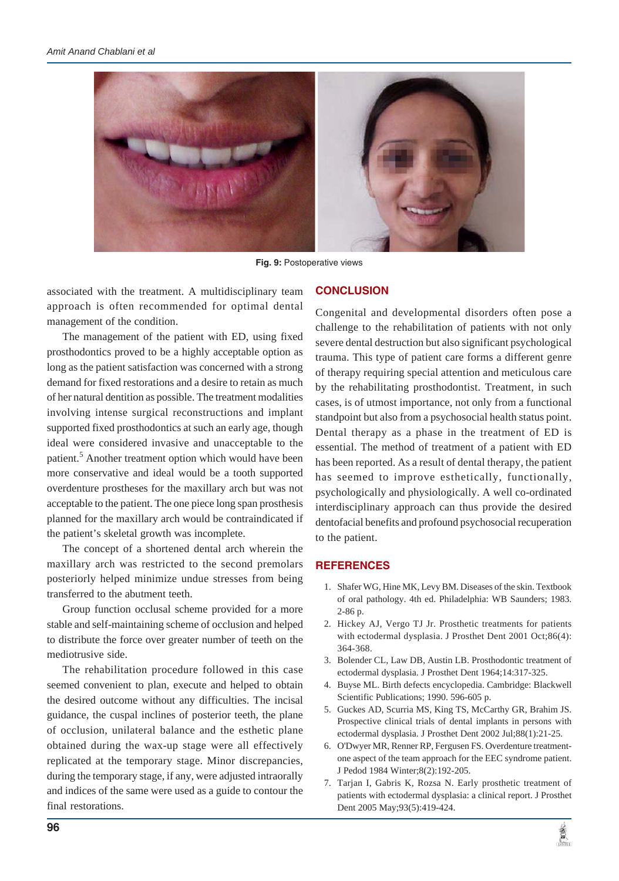

**Fig. 9:** Postoperative views

associated with the treatment. A multidisciplinary team approach is often recommended for optimal dental management of the condition.

The management of the patient with ED, using fixed prosthodontics proved to be a highly acceptable option as long as the patient satisfaction was concerned with a strong demand for fixed restorations and a desire to retain as much of her natural dentition as possible. The treatment modalities involving intense surgical reconstructions and implant supported fixed prosthodontics at such an early age, though ideal were considered invasive and unacceptable to the patient.<sup>5</sup> Another treatment option which would have been more conservative and ideal would be a tooth supported overdenture prostheses for the maxillary arch but was not acceptable to the patient. The one piece long span prosthesis planned for the maxillary arch would be contraindicated if the patient's skeletal growth was incomplete.

The concept of a shortened dental arch wherein the maxillary arch was restricted to the second premolars posteriorly helped minimize undue stresses from being transferred to the abutment teeth.

Group function occlusal scheme provided for a more stable and self-maintaining scheme of occlusion and helped to distribute the force over greater number of teeth on the mediotrusive side.

The rehabilitation procedure followed in this case seemed convenient to plan, execute and helped to obtain the desired outcome without any difficulties. The incisal guidance, the cuspal inclines of posterior teeth, the plane of occlusion, unilateral balance and the esthetic plane obtained during the wax-up stage were all effectively replicated at the temporary stage. Minor discrepancies, during the temporary stage, if any, were adjusted intraorally and indices of the same were used as a guide to contour the final restorations.

## **CONCLUSION**

Congenital and developmental disorders often pose a challenge to the rehabilitation of patients with not only severe dental destruction but also significant psychological trauma. This type of patient care forms a different genre of therapy requiring special attention and meticulous care by the rehabilitating prosthodontist. Treatment, in such cases, is of utmost importance, not only from a functional standpoint but also from a psychosocial health status point. Dental therapy as a phase in the treatment of ED is essential. The method of treatment of a patient with ED has been reported. As a result of dental therapy, the patient has seemed to improve esthetically, functionally, psychologically and physiologically. A well co-ordinated interdisciplinary approach can thus provide the desired dentofacial benefits and profound psychosocial recuperation to the patient.

#### **REFERENCES**

- 1. Shafer WG, Hine MK, Levy BM. Diseases of the skin. Textbook of oral pathology. 4th ed. Philadelphia: WB Saunders; 1983. 2-86 p.
- 2. Hickey AJ, Vergo TJ Jr. Prosthetic treatments for patients with ectodermal dysplasia. J Prosthet Dent 2001 Oct;86(4): 364-368.
- 3. Bolender CL, Law DB, Austin LB. Prosthodontic treatment of ectodermal dysplasia. J Prosthet Dent 1964;14:317-325.
- 4. Buyse ML. Birth defects encyclopedia. Cambridge: Blackwell Scientific Publications; 1990. 596-605 p.
- 5. Guckes AD, Scurria MS, King TS, McCarthy GR, Brahim JS. Prospective clinical trials of dental implants in persons with ectodermal dysplasia. J Prosthet Dent 2002 Jul;88(1):21-25.
- 6. O'Dwyer MR, Renner RP, Fergusen FS. Overdenture treatmentone aspect of the team approach for the EEC syndrome patient. J Pedod 1984 Winter;8(2):192-205.
- 7. Tarjan I, Gabris K, Rozsa N. Early prosthetic treatment of patients with ectodermal dysplasia: a clinical report. J Prosthet Dent 2005 May;93(5):419-424.